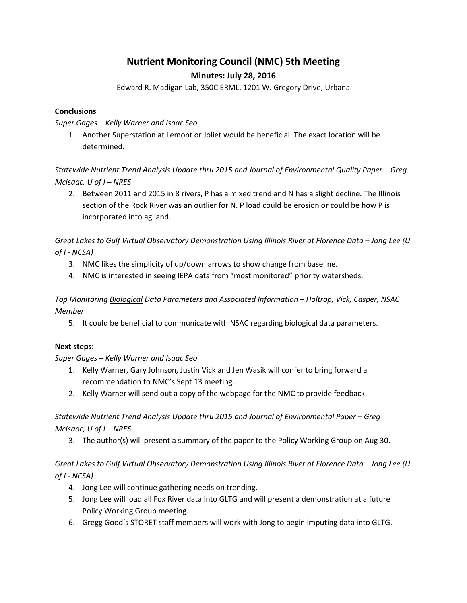# **Nutrient Monitoring Council (NMC) 5th Meeting Minutes: July 28, 2016**

Edward R. Madigan Lab, 350C ERML, 1201 W. Gregory Drive, Urbana

# **Conclusions**

*Super Gages – Kelly Warner and Isaac Seo*

1. Another Superstation at Lemont or Joliet would be beneficial. The exact location will be determined.

*Statewide Nutrient Trend Analysis Update thru 2015 and Journal of Environmental Quality Paper – Greg McIsaac, U of I – NRES*

2. Between 2011 and 2015 in 8 rivers, P has a mixed trend and N has a slight decline. The Illinois section of the Rock River was an outlier for N. P load could be erosion or could be how P is incorporated into ag land.

*Great Lakes to Gulf Virtual Observatory Demonstration Using Illinois River at Florence Data – Jong Lee (U of I - NCSA)*

- 3. NMC likes the simplicity of up/down arrows to show change from baseline.
- 4. NMC is interested in seeing IEPA data from "most monitored" priority watersheds.

*Top Monitoring Biological Data Parameters and Associated Information – Holtrop, Vick, Casper, NSAC Member*

5. It could be beneficial to communicate with NSAC regarding biological data parameters.

# **Next steps:**

*Super Gages – Kelly Warner and Isaac Seo*

- 1. Kelly Warner, Gary Johnson, Justin Vick and Jen Wasik will confer to bring forward a recommendation to NMC's Sept 13 meeting.
- 2. Kelly Warner will send out a copy of the webpage for the NMC to provide feedback.

*Statewide Nutrient Trend Analysis Update thru 2015 and Journal of Environmental Paper – Greg McIsaac, U of I – NRES*

3. The author(s) will present a summary of the paper to the Policy Working Group on Aug 30.

*Great Lakes to Gulf Virtual Observatory Demonstration Using Illinois River at Florence Data – Jong Lee (U of I - NCSA)*

- 4. Jong Lee will continue gathering needs on trending.
- 5. Jong Lee will load all Fox River data into GLTG and will present a demonstration at a future Policy Working Group meeting.
- 6. Gregg Good's STORET staff members will work with Jong to begin imputing data into GLTG.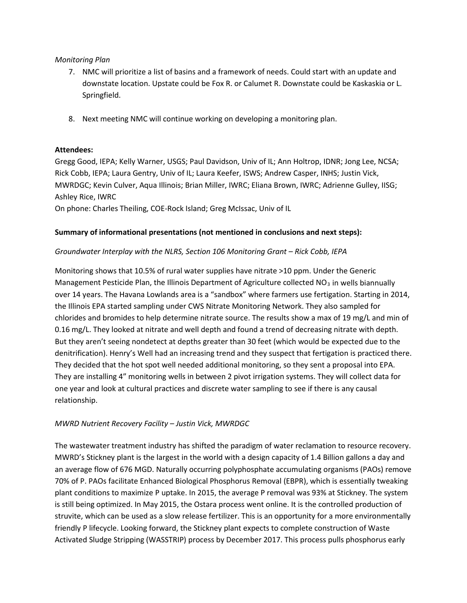### *Monitoring Plan*

- 7. NMC will prioritize a list of basins and a framework of needs. Could start with an update and downstate location. Upstate could be Fox R. or Calumet R. Downstate could be Kaskaskia or L. Springfield.
- 8. Next meeting NMC will continue working on developing a monitoring plan.

# **Attendees:**

Gregg Good, IEPA; Kelly Warner, USGS; Paul Davidson, Univ of IL; Ann Holtrop, IDNR; Jong Lee, NCSA; Rick Cobb, IEPA; Laura Gentry, Univ of IL; Laura Keefer, ISWS; Andrew Casper, INHS; Justin Vick, MWRDGC; Kevin Culver, Aqua Illinois; Brian Miller, IWRC; Eliana Brown, IWRC; Adrienne Gulley, IISG; Ashley Rice, IWRC

On phone: Charles Theiling, COE-Rock Island; Greg McIssac, Univ of IL

### **Summary of informational presentations (not mentioned in conclusions and next steps):**

### *Groundwater Interplay with the NLRS, Section 106 Monitoring Grant – Rick Cobb, IEPA*

Monitoring shows that 10.5% of rural water supplies have nitrate >10 ppm. Under the Generic Management Pesticide Plan, the Illinois Department of Agriculture collected  $NO<sub>3</sub>$  in wells biannually over 14 years. The Havana Lowlands area is a "sandbox" where farmers use fertigation. Starting in 2014, the Illinois EPA started sampling under CWS Nitrate Monitoring Network. They also sampled for chlorides and bromides to help determine nitrate source. The results show a max of 19 mg/L and min of 0.16 mg/L. They looked at nitrate and well depth and found a trend of decreasing nitrate with depth. But they aren't seeing nondetect at depths greater than 30 feet (which would be expected due to the denitrification). Henry's Well had an increasing trend and they suspect that fertigation is practiced there. They decided that the hot spot well needed additional monitoring, so they sent a proposal into EPA. They are installing 4" monitoring wells in between 2 pivot irrigation systems. They will collect data for one year and look at cultural practices and discrete water sampling to see if there is any causal relationship.

#### *MWRD Nutrient Recovery Facility – Justin Vick, MWRDGC*

The wastewater treatment industry has shifted the paradigm of water reclamation to resource recovery. MWRD's Stickney plant is the largest in the world with a design capacity of 1.4 Billion gallons a day and an average flow of 676 MGD. Naturally occurring polyphosphate accumulating organisms (PAOs) remove 70% of P. PAOs facilitate Enhanced Biological Phosphorus Removal (EBPR), which is essentially tweaking plant conditions to maximize P uptake. In 2015, the average P removal was 93% at Stickney. The system is still being optimized. In May 2015, the Ostara process went online. It is the controlled production of struvite, which can be used as a slow release fertilizer. This is an opportunity for a more environmentally friendly P lifecycle. Looking forward, the Stickney plant expects to complete construction of Waste Activated Sludge Stripping (WASSTRIP) process by December 2017. This process pulls phosphorus early